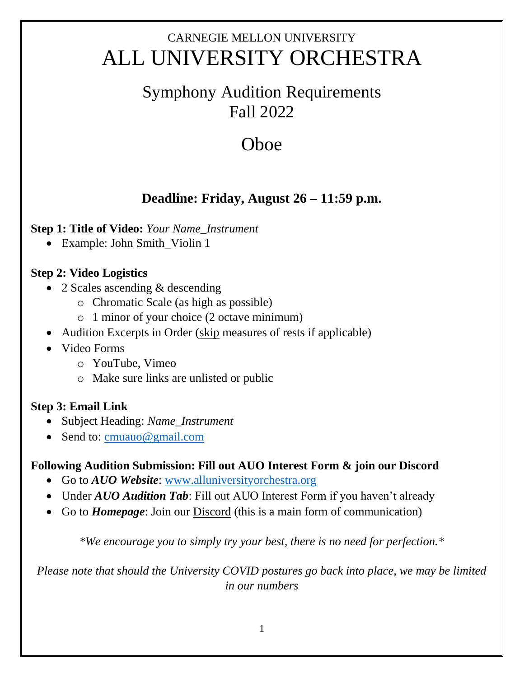# CARNEGIE MELLON UNIVERSITY ALL UNIVERSITY ORCHESTRA

## Symphony Audition Requirements Fall 2022

# **O**hoe

### **Deadline: Friday, August 26 – 11:59 p.m.**

#### **Step 1: Title of Video:** *Your Name\_Instrument*

• Example: John Smith\_Violin 1

#### **Step 2: Video Logistics**

- 2 Scales ascending & descending
	- o Chromatic Scale (as high as possible)
	- o 1 minor of your choice (2 octave minimum)
- Audition Excerpts in Order (skip measures of rests if applicable)
- Video Forms
	- o YouTube, Vimeo
	- o Make sure links are unlisted or public

#### **Step 3: Email Link**

- Subject Heading: *Name\_Instrument*
- Send to: [cmuauo@gmail.com](mailto:cmuauo@gmail.com)

#### **Following Audition Submission: Fill out AUO Interest Form & join our Discord**

- Go to *AUO Website*: [www.alluniversityorchestra.org](http://www.alluniversityorchestra.org/)
- Under *AUO Audition Tab*: Fill out AUO Interest Form if you haven't already
- Go to *Homepage*: Join our Discord (this is a main form of communication)

*\*We encourage you to simply try your best, there is no need for perfection.\**

*Please note that should the University COVID postures go back into place, we may be limited in our numbers*